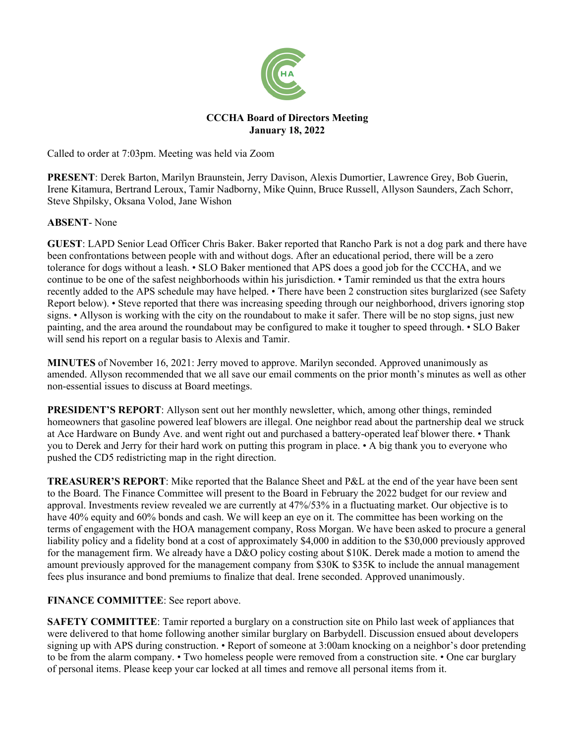

## **CCCHA Board of Directors Meeting January 18, 2022**

Called to order at 7:03pm. Meeting was held via Zoom

**PRESENT**: Derek Barton, Marilyn Braunstein, Jerry Davison, Alexis Dumortier, Lawrence Grey, Bob Guerin, Irene Kitamura, Bertrand Leroux, Tamir Nadborny, Mike Quinn, Bruce Russell, Allyson Saunders, Zach Schorr, Steve Shpilsky, Oksana Volod, Jane Wishon

**ABSENT**- None

**GUEST**: LAPD Senior Lead Officer Chris Baker. Baker reported that Rancho Park is not a dog park and there have been confrontations between people with and without dogs. After an educational period, there will be a zero tolerance for dogs without a leash. • SLO Baker mentioned that APS does a good job for the CCCHA, and we continue to be one of the safest neighborhoods within his jurisdiction. • Tamir reminded us that the extra hours recently added to the APS schedule may have helped. • There have been 2 construction sites burglarized (see Safety Report below). • Steve reported that there was increasing speeding through our neighborhood, drivers ignoring stop signs. • Allyson is working with the city on the roundabout to make it safer. There will be no stop signs, just new painting, and the area around the roundabout may be configured to make it tougher to speed through. • SLO Baker will send his report on a regular basis to Alexis and Tamir.

**MINUTES** of November 16, 2021: Jerry moved to approve. Marilyn seconded. Approved unanimously as amended. Allyson recommended that we all save our email comments on the prior month's minutes as well as other non-essential issues to discuss at Board meetings.

**PRESIDENT'S REPORT:** Allyson sent out her monthly newsletter, which, among other things, reminded homeowners that gasoline powered leaf blowers are illegal. One neighbor read about the partnership deal we struck at Ace Hardware on Bundy Ave. and went right out and purchased a battery-operated leaf blower there. • Thank you to Derek and Jerry for their hard work on putting this program in place. • A big thank you to everyone who pushed the CD5 redistricting map in the right direction.

**TREASURER'S REPORT**: Mike reported that the Balance Sheet and P&L at the end of the year have been sent to the Board. The Finance Committee will present to the Board in February the 2022 budget for our review and approval. Investments review revealed we are currently at 47%/53% in a fluctuating market. Our objective is to have 40% equity and 60% bonds and cash. We will keep an eye on it. The committee has been working on the terms of engagement with the HOA management company, Ross Morgan. We have been asked to procure a general liability policy and a fidelity bond at a cost of approximately \$4,000 in addition to the \$30,000 previously approved for the management firm. We already have a D&O policy costing about \$10K. Derek made a motion to amend the amount previously approved for the management company from \$30K to \$35K to include the annual management fees plus insurance and bond premiums to finalize that deal. Irene seconded. Approved unanimously.

## **FINANCE COMMITTEE**: See report above.

**SAFETY COMMITTEE:** Tamir reported a burglary on a construction site on Philo last week of appliances that were delivered to that home following another similar burglary on Barbydell. Discussion ensued about developers signing up with APS during construction. • Report of someone at 3:00am knocking on a neighbor's door pretending to be from the alarm company. • Two homeless people were removed from a construction site. • One car burglary of personal items. Please keep your car locked at all times and remove all personal items from it.